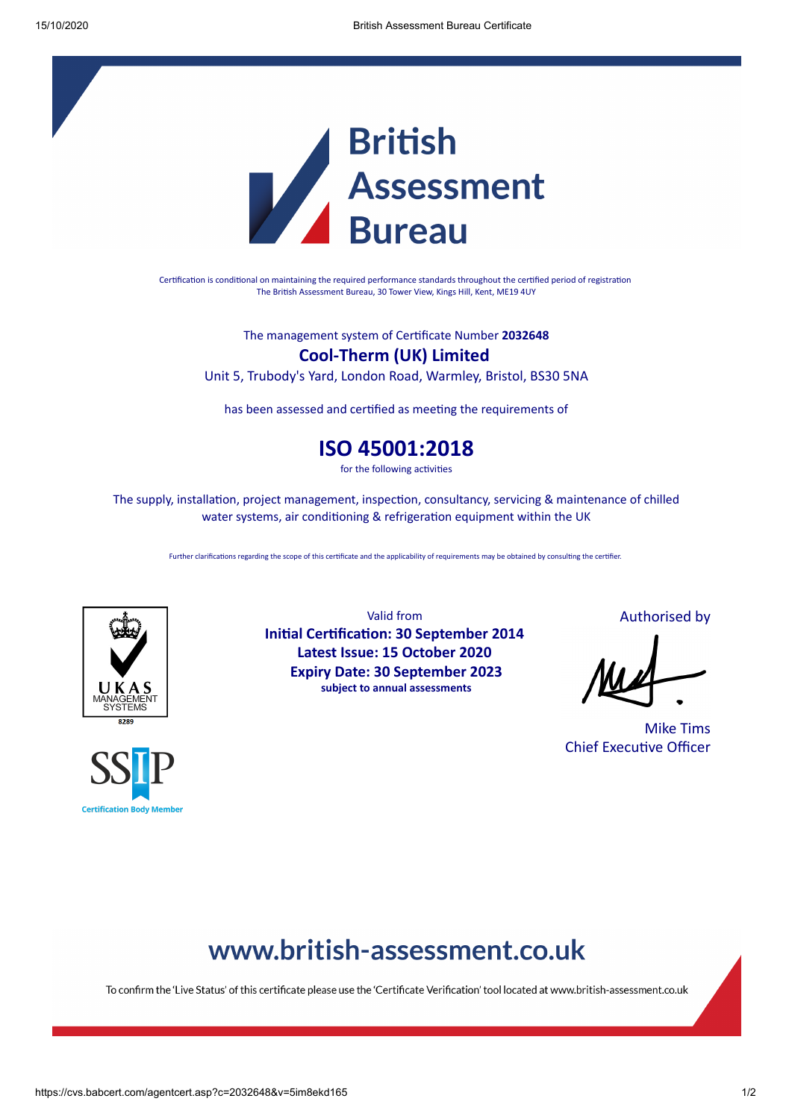

Certification is conditional on maintaining the required performance standards throughout the certified period of registration The British Assessment Bureau, 30 Tower View, Kings Hill, Kent, ME19 4UY

The management system of Cerficate Number **2032648**

**Cool-Therm (UK) Limited**

Unit 5, Trubody's Yard, London Road, Warmley, Bristol, BS30 5NA

has been assessed and certified as meeting the requirements of

## **ISO 45001:2018**

for the following activities

The supply, installation, project management, inspection, consultancy, servicing & maintenance of chilled water systems, air conditioning & refrigeration equipment within the UK

Further clarifications regarding the scope of this certificate and the applicability of requirements may be obtained by consulting the certifier.





Valid from **Initial Certification: 30 September 2014 Latest Issue: 15 October 2020 Expiry Date: 30 September 2023 subject to annual assessments**

Authorised by

Mike Tims Chief Executive Officer

# www.british-assessment.co.uk

To confirm the 'Live Status' of this certificate please use the 'Certificate Verification' tool located at www.british-assessment.co.uk